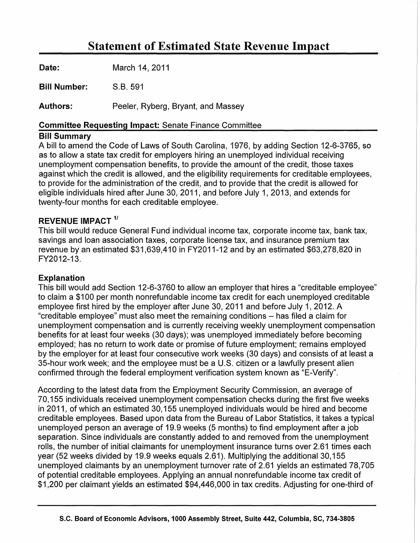# Statement of Estimated State Revenue Impact

| <b>Date:</b> | March 14, 2011                     |
|--------------|------------------------------------|
| Bill Number: | S.B. 591                           |
| Authors:     | Peeler, Ryberg, Bryant, and Massey |

#### Committee Requesting Impact: Senate Finance Committee

#### Bill Summary

A bill to amend the Code of Laws of South Carolina, 1976, by adding Section 12-6-3765, so as to allow a state tax credit for employers hiring an unemployed individual receiving unemployment compensation benefits, to provide the amount of the credit, those taxes against which the credit is allowed, and the eligibility requirements for creditable employees, to provide for the administration of the credit, and to provide that the credit is allowed for eligible individuals hired after June 30, 2011, and before July 1, 2013, and extends for twenty-four months for each creditable employee.

## REVENUE IMPACT<sup>1/</sup>

This bill would reduce General Fund individual income tax, corporate income tax, bank tax, savings and loan association taxes, corporate license tax, and insurance premium tax revenue by an estimated \$31,639,410 in FY2011-12 and by an estimated \$63,278,820 in FY2012-13.

### Explanation

This bill would add Section 12-6-3760 to allow an employer that hires a "creditable employee" to claim a \$100 per month nonrefundable income tax credit for each unemployed creditable employee first hired by the employer after June 30, 2011 and before July 1, 2012. A "creditable employee" must also meet the remaining conditions - has filed a claim for unemployment compensation and is currently receiving weekly unemployment compensation benefits for at least four weeks (30 days); was unemployed immediately before becoming employed; has no return to work date or promise of future employment; remains employed by the employer for at least four consecutive work weeks (30 days) and consists of at least a 35-hour work week; and the employee must be a U.S. citizen or a lawfully present alien confirmed through the federal employment verification system known as "E-Verify".

According to the latest data from the Employment Security Commission, an average of 70,155 individuals received unemployment compensation checks during the first five weeks in 2011, of which an estimated 30,155 unemployed individuals would be hired and become creditable employees. Based upon data from the Bureau of Labor Statistics, it takes a typical unemployed person an average of 19.9 weeks (5 months) to find employment after a job separation. Since individuals are constantly added to and removed from the unemployment rolls, the number of initial claimants for unemployment insurance turns over 2.61 times each year (52 weeks divided by 19.9 weeks equals 2.61 ). Multiplying the additional 30,155 unemployed claimants by an unemployment turnover rate of 2.61 yields an estimated 78,705 of potential creditable employees. Applying an annual nonrefundable income tax credit of \$1,200 per claimant yields an estimated \$94,446,000 in tax credits. Adjusting for one-third of